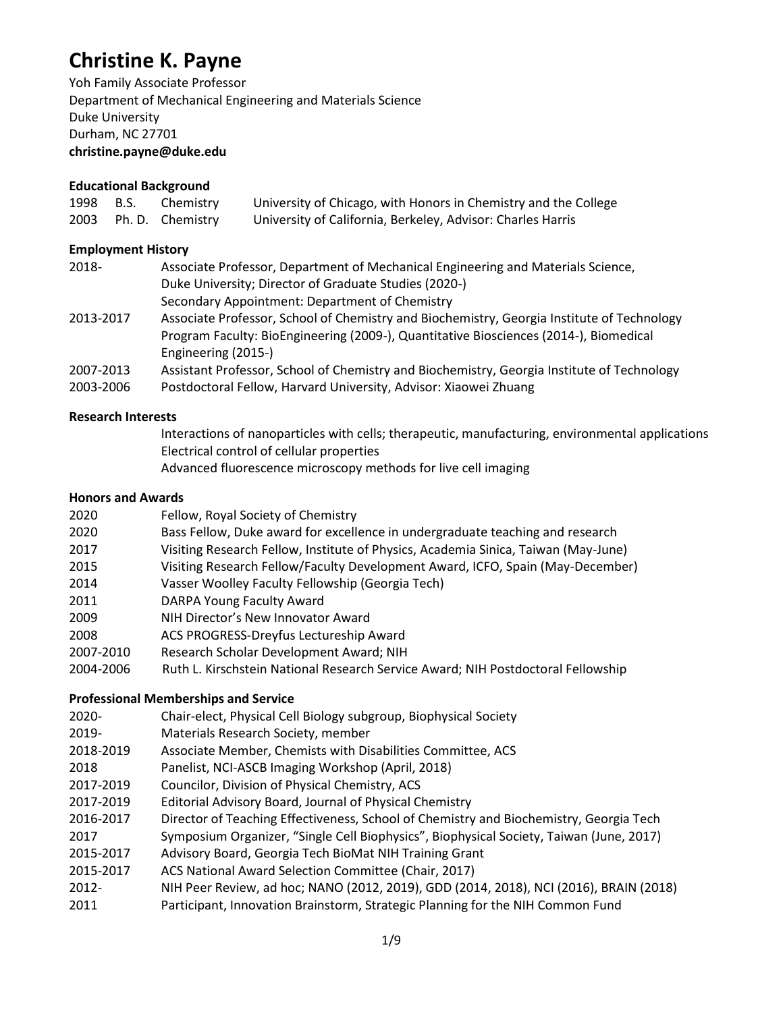# **Christine K. Payne**

Yoh Family Associate Professor Department of Mechanical Engineering and Materials Science Duke University Durham, NC 27701 **christine.payne@duke.edu**

# **Educational Background**

| 1998 B.S. | Chemistry             | University of Chicago, with Honors in Chemistry and the College |
|-----------|-----------------------|-----------------------------------------------------------------|
|           | 2003 Ph. D. Chemistry | University of California, Berkeley, Advisor: Charles Harris     |

# **Employment History**

| 2018-     | Associate Professor, Department of Mechanical Engineering and Materials Science,           |
|-----------|--------------------------------------------------------------------------------------------|
|           | Duke University; Director of Graduate Studies (2020-)                                      |
|           | Secondary Appointment: Department of Chemistry                                             |
| 2013-2017 | Associate Professor, School of Chemistry and Biochemistry, Georgia Institute of Technology |
|           | Program Faculty: BioEngineering (2009-), Quantitative Biosciences (2014-), Biomedical      |
|           | Engineering (2015-)                                                                        |
| 2007-2013 | Assistant Professor, School of Chemistry and Biochemistry, Georgia Institute of Technology |
| 2003-2006 | Postdoctoral Fellow, Harvard University, Advisor: Xiaowei Zhuang                           |

# **Research Interests**

Interactions of nanoparticles with cells; therapeutic, manufacturing, environmental applications Electrical control of cellular properties Advanced fluorescence microscopy methods for live cell imaging

# **Honors and Awards**

| 2020      | Fellow, Royal Society of Chemistry                                                 |
|-----------|------------------------------------------------------------------------------------|
| 2020      | Bass Fellow, Duke award for excellence in undergraduate teaching and research      |
| 2017      | Visiting Research Fellow, Institute of Physics, Academia Sinica, Taiwan (May-June) |
| 2015      | Visiting Research Fellow/Faculty Development Award, ICFO, Spain (May-December)     |
| 2014      | Vasser Woolley Faculty Fellowship (Georgia Tech)                                   |
| 2011      | DARPA Young Faculty Award                                                          |
| 2009      | NIH Director's New Innovator Award                                                 |
| 2008      | ACS PROGRESS-Dreyfus Lectureship Award                                             |
| 2007-2010 | Research Scholar Development Award; NIH                                            |
| 2004-2006 | Ruth L. Kirschstein National Research Service Award; NIH Postdoctoral Fellowship   |

# **Professional Memberships and Service**

- 2020- Chair-elect, Physical Cell Biology subgroup, Biophysical Society
- 2019- Materials Research Society, member
- 2018-2019 Associate Member, Chemists with Disabilities Committee, ACS
- 2018 Panelist, NCI-ASCB Imaging Workshop (April, 2018)
- 2017-2019 Councilor, Division of Physical Chemistry, ACS
- 2017-2019 Editorial Advisory Board, Journal of Physical Chemistry
- 2016-2017 Director of Teaching Effectiveness, School of Chemistry and Biochemistry, Georgia Tech
- 2017 Symposium Organizer, "Single Cell Biophysics", Biophysical Society, Taiwan (June, 2017)
- 2015-2017 Advisory Board, Georgia Tech BioMat NIH Training Grant
- 2015-2017 ACS National Award Selection Committee (Chair, 2017)
- 2012- NIH Peer Review, ad hoc; NANO (2012, 2019), GDD (2014, 2018), NCI (2016), BRAIN (2018)
- 2011 Participant, Innovation Brainstorm, Strategic Planning for the NIH Common Fund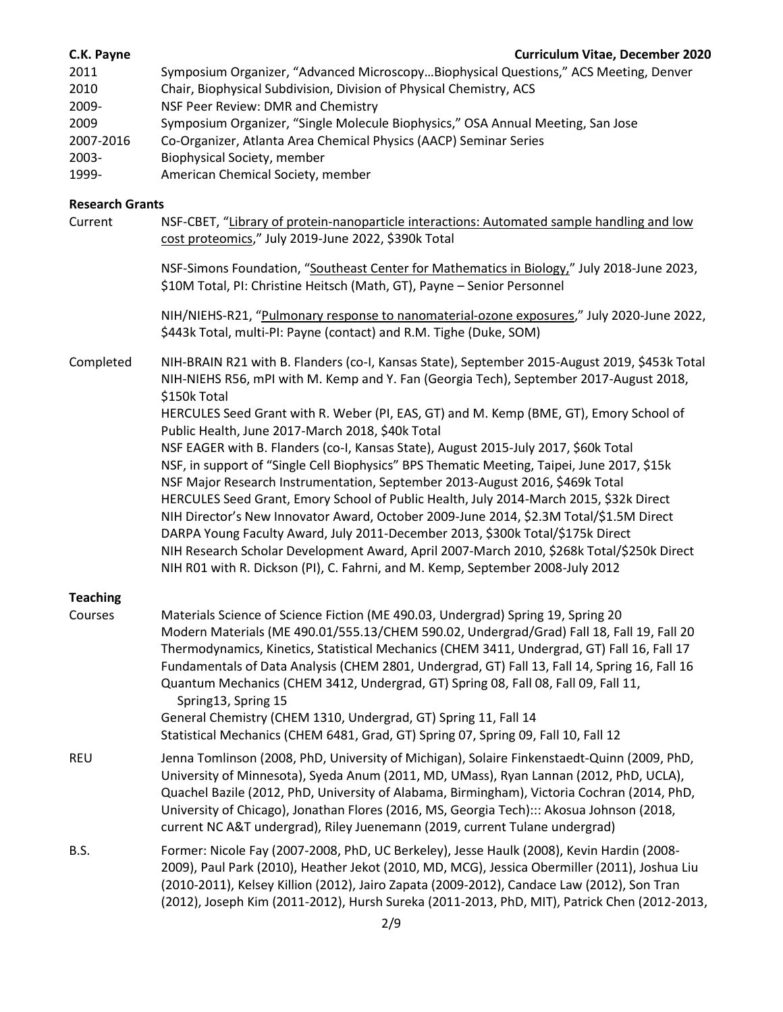### **C.K. Payne Curriculum Vitae, December 2020**

2011 Symposium Organizer, "Advanced Microscopy…Biophysical Questions," ACS Meeting, Denver 2010 Chair, Biophysical Subdivision, Division of Physical Chemistry, ACS 2009- NSF Peer Review: DMR and Chemistry 2009 Symposium Organizer, "Single Molecule Biophysics," OSA Annual Meeting, San Jose 2007-2016 Co-Organizer, Atlanta Area Chemical Physics (AACP) Seminar Series 2003- Biophysical Society, member 1999- American Chemical Society, member

### **Research Grants**

Current NSF-CBET, "Library of protein-nanoparticle interactions: Automated sample handling and low cost proteomics," July 2019-June 2022, \$390k Total

> NSF-Simons Foundation, "Southeast Center for Mathematics in Biology," July 2018-June 2023, \$10M Total, PI: Christine Heitsch (Math, GT), Payne – Senior Personnel

NIH/NIEHS-R21, "Pulmonary response to nanomaterial-ozone exposures," July 2020-June 2022, \$443k Total, multi-PI: Payne (contact) and R.M. Tighe (Duke, SOM)

Completed NIH-BRAIN R21 with B. Flanders (co-I, Kansas State), September 2015-August 2019, \$453k Total NIH-NIEHS R56, mPI with M. Kemp and Y. Fan (Georgia Tech), September 2017-August 2018, \$150k Total HERCULES Seed Grant with R. Weber (PI, EAS, GT) and M. Kemp (BME, GT), Emory School of Public Health, June 2017-March 2018, \$40k Total NSF EAGER with B. Flanders (co-I, Kansas State), August 2015-July 2017, \$60k Total NSF, in support of "Single Cell Biophysics" BPS Thematic Meeting, Taipei, June 2017, \$15k NSF Major Research Instrumentation, September 2013-August 2016, \$469k Total HERCULES Seed Grant, Emory School of Public Health, July 2014-March 2015, \$32k Direct NIH Director's New Innovator Award, October 2009-June 2014, \$2.3M Total/\$1.5M Direct DARPA Young Faculty Award, July 2011-December 2013, \$300k Total/\$175k Direct NIH Research Scholar Development Award, April 2007-March 2010, \$268k Total/\$250k Direct NIH R01 with R. Dickson (PI), C. Fahrni, and M. Kemp, September 2008-July 2012

### **Teaching**

Courses Materials Science of Science Fiction (ME 490.03, Undergrad) Spring 19, Spring 20 Modern Materials (ME 490.01/555.13/CHEM 590.02, Undergrad/Grad) Fall 18, Fall 19, Fall 20 Thermodynamics, Kinetics, Statistical Mechanics (CHEM 3411, Undergrad, GT) Fall 16, Fall 17 Fundamentals of Data Analysis (CHEM 2801, Undergrad, GT) Fall 13, Fall 14, Spring 16, Fall 16 Quantum Mechanics (CHEM 3412, Undergrad, GT) Spring 08, Fall 08, Fall 09, Fall 11, Spring13, Spring 15 General Chemistry (CHEM 1310, Undergrad, GT) Spring 11, Fall 14 Statistical Mechanics (CHEM 6481, Grad, GT) Spring 07, Spring 09, Fall 10, Fall 12 REU Jenna Tomlinson (2008, PhD, University of Michigan), Solaire Finkenstaedt-Quinn (2009, PhD, University of Minnesota), Syeda Anum (2011, MD, UMass), Ryan Lannan (2012, PhD, UCLA), Quachel Bazile (2012, PhD, University of Alabama, Birmingham), Victoria Cochran (2014, PhD, University of Chicago), Jonathan Flores (2016, MS, Georgia Tech)::: Akosua Johnson (2018, current NC A&T undergrad), Riley Juenemann (2019, current Tulane undergrad) B.S. Former: Nicole Fay (2007-2008, PhD, UC Berkeley), Jesse Haulk (2008), Kevin Hardin (2008- 2009), Paul Park (2010), Heather Jekot (2010, MD, MCG), Jessica Obermiller (2011), Joshua Liu (2010-2011), Kelsey Killion (2012), Jairo Zapata (2009-2012), Candace Law (2012), Son Tran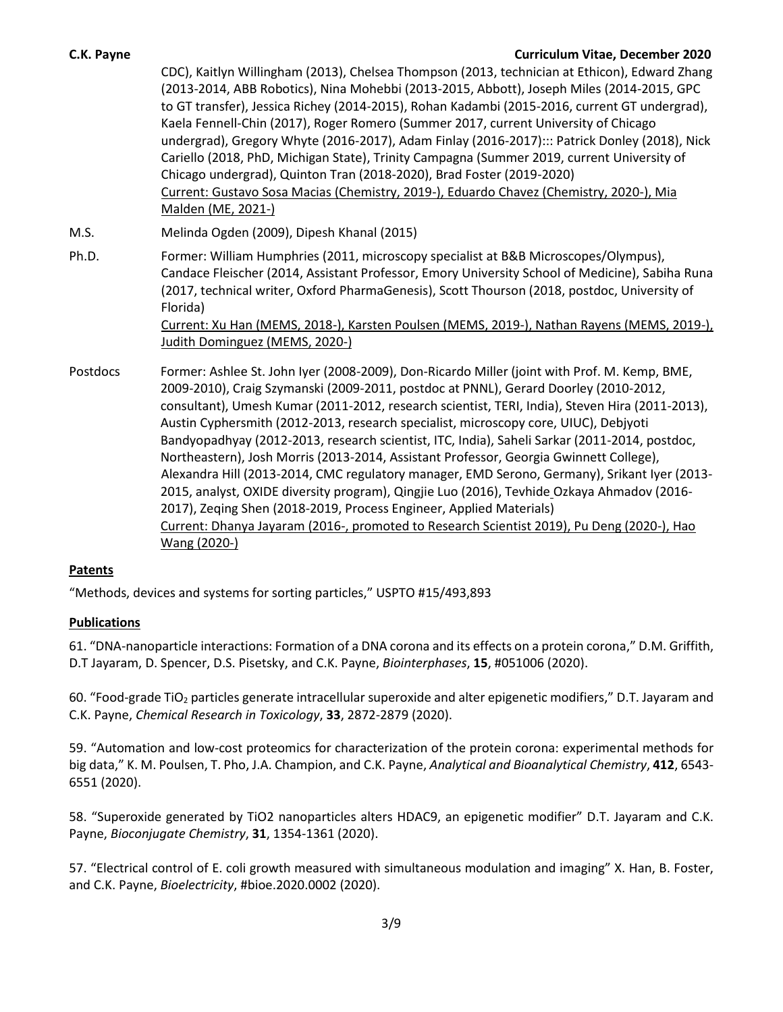### **C.K. Payne Curriculum Vitae, December 2020**

CDC), Kaitlyn Willingham (2013), Chelsea Thompson (2013, technician at Ethicon), Edward Zhang (2013-2014, ABB Robotics), Nina Mohebbi (2013-2015, Abbott), Joseph Miles (2014-2015, GPC to GT transfer), Jessica Richey (2014-2015), Rohan Kadambi (2015-2016, current GT undergrad), Kaela Fennell-Chin (2017), Roger Romero (Summer 2017, current University of Chicago undergrad), Gregory Whyte (2016-2017), Adam Finlay (2016-2017)::: Patrick Donley (2018), Nick Cariello (2018, PhD, Michigan State), Trinity Campagna (Summer 2019, current University of Chicago undergrad), Quinton Tran (2018-2020), Brad Foster (2019-2020) Current: Gustavo Sosa Macias (Chemistry, 2019-), Eduardo Chavez (Chemistry, 2020-), Mia Malden (ME, 2021-)

M.S. Melinda Ogden (2009), Dipesh Khanal (2015)

Judith Dominguez (MEMS, 2020-)

- Ph.D. Former: William Humphries (2011, microscopy specialist at B&B Microscopes/Olympus), Candace Fleischer (2014, Assistant Professor, Emory University School of Medicine), Sabiha Runa (2017, technical writer, Oxford PharmaGenesis), Scott Thourson (2018, postdoc, University of Florida) Current: Xu Han (MEMS, 2018-), Karsten Poulsen (MEMS, 2019-), Nathan Rayens (MEMS, 2019-),
- Postdocs Former: Ashlee St. John Iyer (2008-2009), Don-Ricardo Miller (joint with Prof. M. Kemp, BME, 2009-2010), Craig Szymanski (2009-2011, postdoc at PNNL), Gerard Doorley (2010-2012, consultant), Umesh Kumar (2011-2012, research scientist, TERI, India), Steven Hira (2011-2013), Austin Cyphersmith (2012-2013, research specialist, microscopy core, UIUC), Debjyoti Bandyopadhyay (2012-2013, research scientist, ITC, India), Saheli Sarkar (2011-2014, postdoc, Northeastern), Josh Morris (2013-2014, Assistant Professor, Georgia Gwinnett College), Alexandra Hill (2013-2014, CMC regulatory manager, EMD Serono, Germany), Srikant Iyer (2013- 2015, analyst, OXIDE diversity program), Qingjie Luo (2016), Tevhide Ozkaya Ahmadov (2016- 2017), Zeqing Shen (2018-2019, Process Engineer, Applied Materials) Current: Dhanya Jayaram (2016-, promoted to Research Scientist 2019), Pu Deng (2020-), Hao Wang (2020-)

# **Patents**

"Methods, devices and systems for sorting particles," USPTO #15/493,893

# **Publications**

61. "DNA-nanoparticle interactions: Formation of a DNA corona and its effects on a protein corona," D.M. Griffith, D.T Jayaram, D. Spencer, D.S. Pisetsky, and C.K. Payne, *Biointerphases*, **15**, #051006 (2020).

60. "Food-grade TiO<sup>2</sup> particles generate intracellular superoxide and alter epigenetic modifiers," D.T. Jayaram and C.K. Payne, *Chemical Research in Toxicology*, **33**, 2872-2879 (2020).

59. "Automation and low-cost proteomics for characterization of the protein corona: experimental methods for big data," K. M. Poulsen, T. Pho, J.A. Champion, and C.K. Payne, *Analytical and Bioanalytical Chemistry*, **412**, 6543- 6551 (2020).

58. "Superoxide generated by TiO2 nanoparticles alters HDAC9, an epigenetic modifier" D.T. Jayaram and C.K. Payne, *Bioconjugate Chemistry*, **31**, 1354-1361 (2020).

57. "Electrical control of E. coli growth measured with simultaneous modulation and imaging" X. Han, B. Foster, and C.K. Payne, *Bioelectricity*, #bioe.2020.0002 (2020).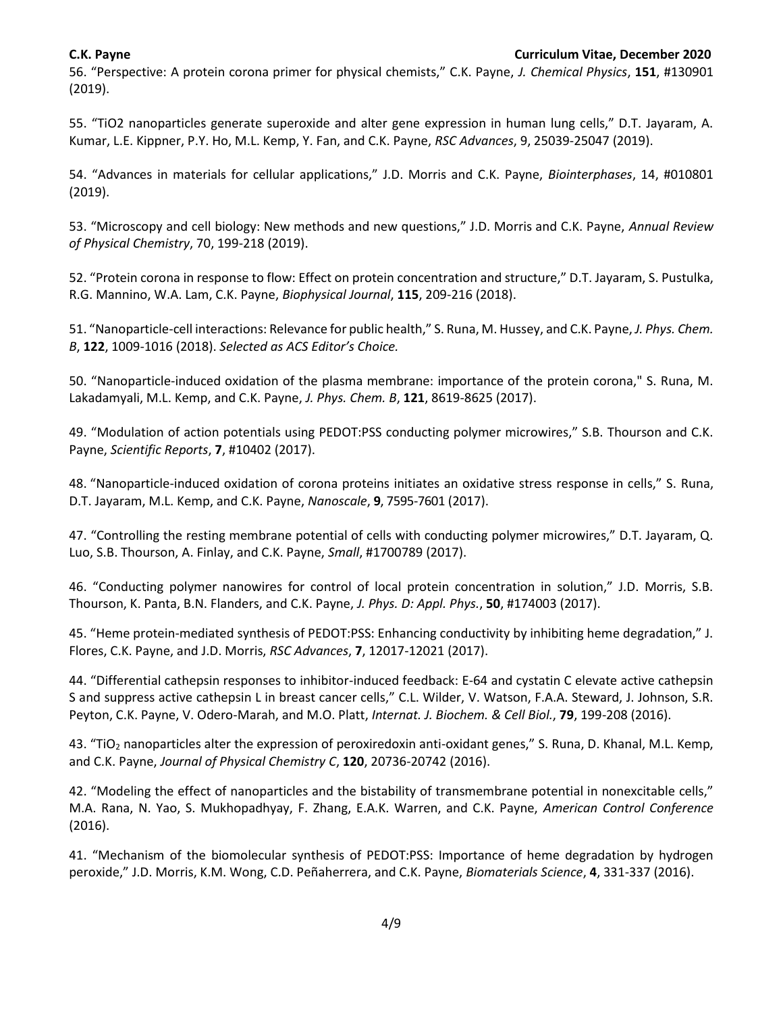56. "Perspective: A protein corona primer for physical chemists," C.K. Payne, *J. Chemical Physics*, **151**, #130901 (2019).

55. "TiO2 nanoparticles generate superoxide and alter gene expression in human lung cells," D.T. Jayaram, A. Kumar, L.E. Kippner, P.Y. Ho, M.L. Kemp, Y. Fan, and C.K. Payne, *RSC Advances*, 9, 25039-25047 (2019).

54. "Advances in materials for cellular applications," J.D. Morris and C.K. Payne, *Biointerphases*, 14, #010801 (2019).

53. "Microscopy and cell biology: New methods and new questions," J.D. Morris and C.K. Payne, *Annual Review of Physical Chemistry*, 70, 199-218 (2019).

52. "Protein corona in response to flow: Effect on protein concentration and structure," D.T. Jayaram, S. Pustulka, R.G. Mannino, W.A. Lam, C.K. Payne, *Biophysical Journal*, **115**, 209-216 (2018).

51. "Nanoparticle-cell interactions: Relevance for public health," S. Runa, M. Hussey, and C.K. Payne, *J. Phys. Chem. B*, **122**, 1009-1016 (2018). *Selected as ACS Editor's Choice.*

50. "Nanoparticle-induced oxidation of the plasma membrane: importance of the protein corona," S. Runa, M. Lakadamyali, M.L. Kemp, and C.K. Payne, *J. Phys. Chem. B*, **121**, 8619-8625 (2017).

49. "Modulation of action potentials using PEDOT:PSS conducting polymer microwires," S.B. Thourson and C.K. Payne, *Scientific Reports*, **7**, #10402 (2017).

48. "Nanoparticle-induced oxidation of corona proteins initiates an oxidative stress response in cells," S. Runa, D.T. Jayaram, M.L. Kemp, and C.K. Payne, *Nanoscale*, **9**, 7595-7601 (2017).

47. "Controlling the resting membrane potential of cells with conducting polymer microwires," D.T. Jayaram, Q. Luo, S.B. Thourson, A. Finlay, and C.K. Payne, *Small*, #1700789 (2017).

46. "Conducting polymer nanowires for control of local protein concentration in solution," J.D. Morris, S.B. Thourson, K. Panta, B.N. Flanders, and C.K. Payne, *J. Phys. D: Appl. Phys.*, **50**, #174003 (2017).

45. "Heme protein-mediated synthesis of PEDOT:PSS: Enhancing conductivity by inhibiting heme degradation," J. Flores, C.K. Payne, and J.D. Morris, *RSC Advances*, **7**, 12017-12021 (2017).

44. "Differential cathepsin responses to inhibitor-induced feedback: E-64 and cystatin C elevate active cathepsin S and suppress active cathepsin L in breast cancer cells," C.L. Wilder, V. Watson, F.A.A. Steward, J. Johnson, S.R. Peyton, C.K. Payne, V. Odero-Marah, and M.O. Platt, *Internat. J. Biochem. & Cell Biol.*, **79**, 199-208 (2016).

43. "TiO<sup>2</sup> nanoparticles alter the expression of peroxiredoxin anti-oxidant genes," S. Runa, D. Khanal, M.L. Kemp, and C.K. Payne, *Journal of Physical Chemistry C*, **120**, 20736-20742 (2016).

42. "Modeling the effect of nanoparticles and the bistability of transmembrane potential in nonexcitable cells," M.A. Rana, N. Yao, S. Mukhopadhyay, F. Zhang, E.A.K. Warren, and C.K. Payne, *American Control Conference* (2016).

41. "Mechanism of the biomolecular synthesis of PEDOT:PSS: Importance of heme degradation by hydrogen peroxide," J.D. Morris, K.M. Wong, C.D. Peñaherrera, and C.K. Payne, *Biomaterials Science*, **4**, 331-337 (2016).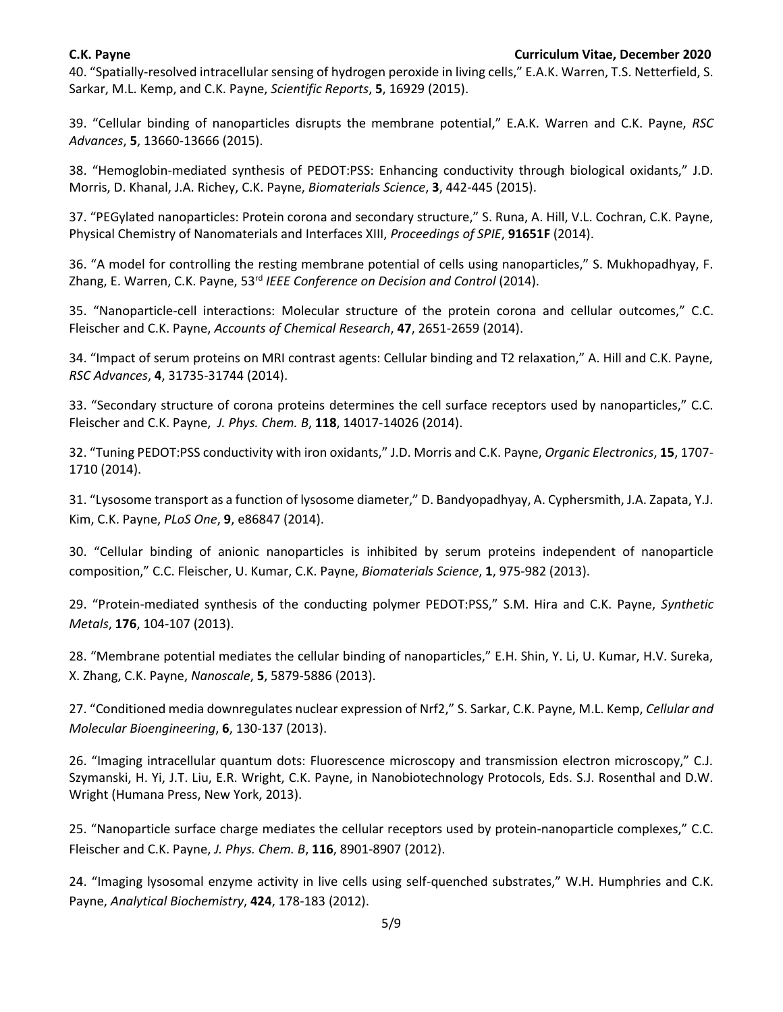40. "Spatially-resolved intracellular sensing of hydrogen peroxide in living cells," E.A.K. Warren, T.S. Netterfield, S. Sarkar, M.L. Kemp, and C.K. Payne, *Scientific Reports*, **5**, 16929 (2015).

39. "Cellular binding of nanoparticles disrupts the membrane potential," E.A.K. Warren and C.K. Payne, *RSC Advances*, **5**, 13660-13666 (2015).

38. "Hemoglobin-mediated synthesis of PEDOT:PSS: Enhancing conductivity through biological oxidants," J.D. Morris, D. Khanal, J.A. Richey, C.K. Payne, *Biomaterials Science*, **3**, 442-445 (2015).

37. "PEGylated nanoparticles: Protein corona and secondary structure," S. Runa, A. Hill, V.L. Cochran, C.K. Payne, Physical Chemistry of Nanomaterials and Interfaces XIII, *Proceedings of SPIE*, **91651F** (2014).

36. "A model for controlling the resting membrane potential of cells using nanoparticles," S. Mukhopadhyay, F. Zhang, E. Warren, C.K. Payne, 53rd *IEEE Conference on Decision and Control* (2014).

35. "Nanoparticle-cell interactions: Molecular structure of the protein corona and cellular outcomes," C.C. Fleischer and C.K. Payne, *Accounts of Chemical Research*, **47**, 2651-2659 (2014).

34. "Impact of serum proteins on MRI contrast agents: Cellular binding and T2 relaxation," A. Hill and C.K. Payne, *RSC Advances*, **4**, 31735-31744 (2014).

33. "Secondary structure of corona proteins determines the cell surface receptors used by nanoparticles," C.C. Fleischer and C.K. Payne, *J. Phys. Chem. B*, **118**, 14017-14026 (2014).

32. "Tuning PEDOT:PSS conductivity with iron oxidants," J.D. Morris and C.K. Payne, *Organic Electronics*, **15**, 1707- 1710 (2014).

31. "Lysosome transport as a function of lysosome diameter," D. Bandyopadhyay, A. Cyphersmith, J.A. Zapata, Y.J. Kim, C.K. Payne, *PLoS One*, **9**, e86847 (2014).

30. "Cellular binding of anionic nanoparticles is inhibited by serum proteins independent of nanoparticle composition," C.C. Fleischer, U. Kumar, C.K. Payne, *Biomaterials Science*, **1**, 975-982 (2013).

29. "Protein-mediated synthesis of the conducting polymer PEDOT:PSS," S.M. Hira and C.K. Payne, *Synthetic Metals*, **176**, 104-107 (2013).

28. "Membrane potential mediates the cellular binding of nanoparticles," E.H. Shin, Y. Li, U. Kumar, H.V. Sureka, X. Zhang, C.K. Payne, *Nanoscale*, **5**, 5879-5886 (2013).

27. "Conditioned media downregulates nuclear expression of Nrf2," S. Sarkar, C.K. Payne, M.L. Kemp, *Cellular and Molecular Bioengineering*, **6**, 130-137 (2013).

26. "Imaging intracellular quantum dots: Fluorescence microscopy and transmission electron microscopy," C.J. Szymanski, H. Yi, J.T. Liu, E.R. Wright, C.K. Payne, in Nanobiotechnology Protocols, Eds. S.J. Rosenthal and D.W. Wright (Humana Press, New York, 2013).

25. "Nanoparticle surface charge mediates the cellular receptors used by protein-nanoparticle complexes," C.C. Fleischer and C.K. Payne, *J. Phys. Chem. B*, **116**, 8901-8907 (2012).

24. "Imaging lysosomal enzyme activity in live cells using self-quenched substrates," W.H. Humphries and C.K. Payne, *Analytical Biochemistry*, **424**, 178-183 (2012).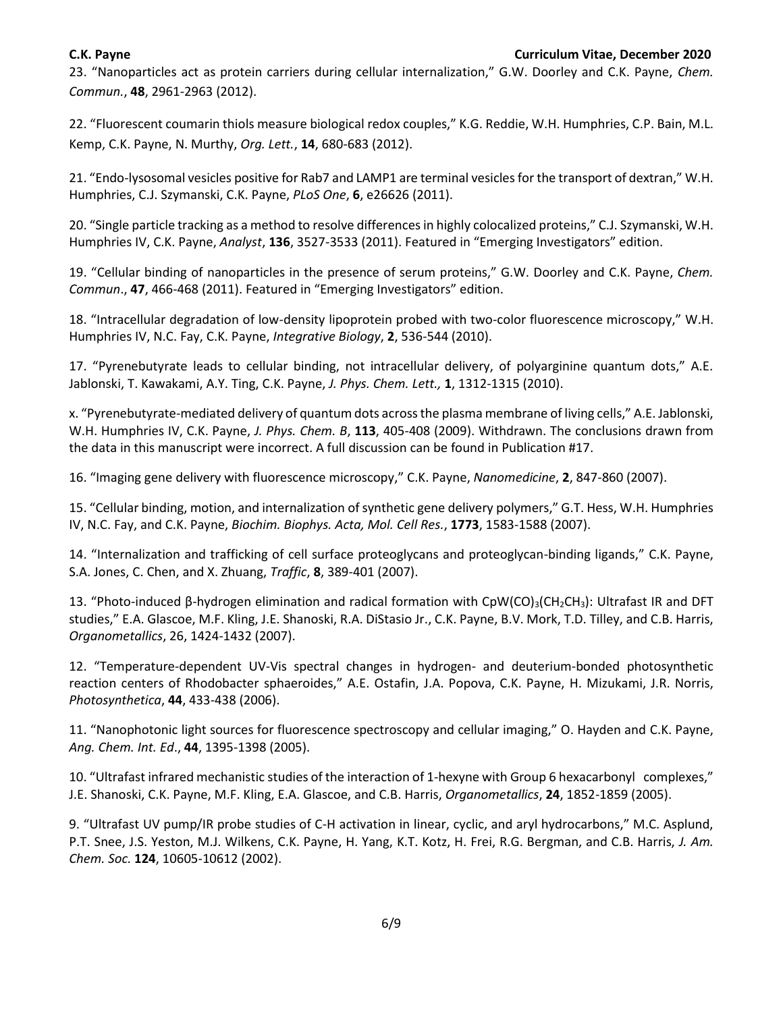23. "Nanoparticles act as protein carriers during cellular internalization," G.W. Doorley and C.K. Payne, *Chem. Commun.*, **48**, 2961-2963 (2012).

22. "Fluorescent coumarin thiols measure biological redox couples," K.G. Reddie, W.H. Humphries, C.P. Bain, M.L. Kemp, C.K. Payne, N. Murthy, *Org. Lett.*, **14**, 680-683 (2012).

21. "Endo-lysosomal vesicles positive for Rab7 and LAMP1 are terminal vesicles for the transport of dextran," W.H. Humphries, C.J. Szymanski, C.K. Payne, *PLoS One*, **6**, e26626 (2011).

20. "Single particle tracking as a method to resolve differences in highly colocalized proteins," C.J. Szymanski, W.H. Humphries IV, C.K. Payne, *Analyst*, **136**, 3527-3533 (2011). Featured in "Emerging Investigators" edition.

19. "Cellular binding of nanoparticles in the presence of serum proteins," G.W. Doorley and C.K. Payne, *Chem. Commun*., **47**, 466-468 (2011). Featured in "Emerging Investigators" edition.

18. "Intracellular degradation of low-density lipoprotein probed with two-color fluorescence microscopy," W.H. Humphries IV, N.C. Fay, C.K. Payne, *Integrative Biology*, **2**, 536-544 (2010).

17. "Pyrenebutyrate leads to cellular binding, not intracellular delivery, of polyarginine quantum dots," A.E. Jablonski, T. Kawakami, A.Y. Ting, C.K. Payne, *J. Phys. Chem. Lett.,* **1**, 1312-1315 (2010).

x. "Pyrenebutyrate-mediated delivery of quantum dots across the plasma membrane of living cells," A.E. Jablonski, W.H. Humphries IV, C.K. Payne, *J. Phys. Chem. B*, **113**, 405-408 (2009). Withdrawn. The conclusions drawn from the data in this manuscript were incorrect. A full discussion can be found in Publication #17.

16. "Imaging gene delivery with fluorescence microscopy," C.K. Payne, *Nanomedicine*, **2**, 847-860 (2007).

15. "Cellular binding, motion, and internalization of synthetic gene delivery polymers," G.T. Hess, W.H. Humphries IV, N.C. Fay, and C.K. Payne, *Biochim. Biophys. Acta, Mol. Cell Res.*, **1773**, 1583-1588 (2007).

14. "Internalization and trafficking of cell surface proteoglycans and proteoglycan-binding ligands," C.K. Payne, S.A. Jones, C. Chen, and X. Zhuang, *Traffic*, **8**, 389-401 (2007).

13. "Photo-induced β-hydrogen elimination and radical formation with CpW(CO)3(CH2CH3): Ultrafast IR and DFT studies," E.A. Glascoe, M.F. Kling, J.E. Shanoski, R.A. DiStasio Jr., C.K. Payne, B.V. Mork, T.D. Tilley, and C.B. Harris, *Organometallics*, 26, 1424-1432 (2007).

12. "Temperature-dependent UV-Vis spectral changes in hydrogen- and deuterium-bonded photosynthetic reaction centers of Rhodobacter sphaeroides," A.E. Ostafin, J.A. Popova, C.K. Payne, H. Mizukami, J.R. Norris, *Photosynthetica*, **44**, 433-438 (2006).

11. "Nanophotonic light sources for fluorescence spectroscopy and cellular imaging," O. Hayden and C.K. Payne, *Ang. Chem. Int. Ed*., **44**, 1395-1398 (2005).

10. "Ultrafast infrared mechanistic studies of the interaction of 1-hexyne with Group 6 hexacarbonyl complexes," J.E. Shanoski, C.K. Payne, M.F. Kling, E.A. Glascoe, and C.B. Harris, *Organometallics*, **24**, 1852-1859 (2005).

9. "Ultrafast UV pump/IR probe studies of C-H activation in linear, cyclic, and aryl hydrocarbons," M.C. Asplund, P.T. Snee, J.S. Yeston, M.J. Wilkens, C.K. Payne, H. Yang, K.T. Kotz, H. Frei, R.G. Bergman, and C.B. Harris, *J. Am. Chem. Soc.* **124**, 10605-10612 (2002).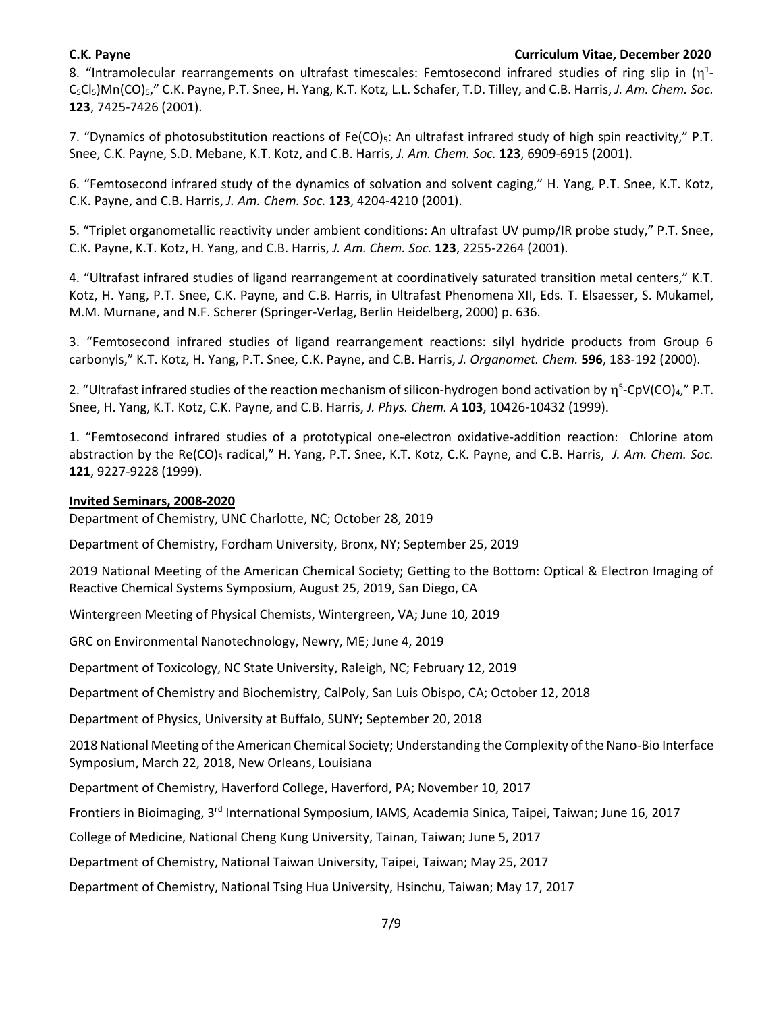8. "Intramolecular rearrangements on ultrafast timescales: Femtosecond infrared studies of ring slip in ( $\eta^1$ -C5Cl5)Mn(CO)5," C.K. Payne, P.T. Snee, H. Yang, K.T. Kotz, L.L. Schafer, T.D. Tilley, and C.B. Harris, *J. Am. Chem. Soc.*  **123**, 7425-7426 (2001).

7. "Dynamics of photosubstitution reactions of Fe(CO)<sub>5</sub>: An ultrafast infrared study of high spin reactivity," P.T. Snee, C.K. Payne, S.D. Mebane, K.T. Kotz, and C.B. Harris, *J. Am. Chem. Soc.* **123**, 6909-6915 (2001).

6. "Femtosecond infrared study of the dynamics of solvation and solvent caging," H. Yang, P.T. Snee, K.T. Kotz, C.K. Payne, and C.B. Harris, *J. Am. Chem. Soc.* **123**, 4204-4210 (2001).

5. "Triplet organometallic reactivity under ambient conditions: An ultrafast UV pump/IR probe study," P.T. Snee, C.K. Payne, K.T. Kotz, H. Yang, and C.B. Harris, *J. Am. Chem. Soc.* **123**, 2255-2264 (2001).

4. "Ultrafast infrared studies of ligand rearrangement at coordinatively saturated transition metal centers," K.T. Kotz, H. Yang, P.T. Snee, C.K. Payne, and C.B. Harris, in Ultrafast Phenomena XII, Eds. T. Elsaesser, S. Mukamel, M.M. Murnane, and N.F. Scherer (Springer-Verlag, Berlin Heidelberg, 2000) p. 636.

3. "Femtosecond infrared studies of ligand rearrangement reactions: silyl hydride products from Group 6 carbonyls," K.T. Kotz, H. Yang, P.T. Snee, C.K. Payne, and C.B. Harris, *J. Organomet. Chem.* **596**, 183-192 (2000).

2. "Ultrafast infrared studies of the reaction mechanism of silicon-hydrogen bond activation by  $\eta^5$ -CpV(CO)<sub>4</sub>," P.T. Snee, H. Yang, K.T. Kotz, C.K. Payne, and C.B. Harris, *J. Phys. Chem. A* **103**, 10426-10432 (1999).

1. "Femtosecond infrared studies of a prototypical one-electron oxidative-addition reaction: Chlorine atom abstraction by the Re(CO)<sub>5</sub> radical," H. Yang, P.T. Snee, K.T. Kotz, C.K. Payne, and C.B. Harris, J. Am. Chem. Soc. **121**, 9227-9228 (1999).

# **Invited Seminars, 2008-2020**

Department of Chemistry, UNC Charlotte, NC; October 28, 2019

Department of Chemistry, Fordham University, Bronx, NY; September 25, 2019

2019 National Meeting of the American Chemical Society; Getting to the Bottom: Optical & Electron Imaging of Reactive Chemical Systems Symposium, August 25, 2019, San Diego, CA

Wintergreen Meeting of Physical Chemists, Wintergreen, VA; June 10, 2019

GRC on Environmental Nanotechnology, Newry, ME; June 4, 2019

Department of Toxicology, NC State University, Raleigh, NC; February 12, 2019

Department of Chemistry and Biochemistry, CalPoly, San Luis Obispo, CA; October 12, 2018

Department of Physics, University at Buffalo, SUNY; September 20, 2018

2018 National Meeting of the American Chemical Society; Understanding the Complexity of the Nano-Bio Interface Symposium, March 22, 2018, New Orleans, Louisiana

Department of Chemistry, Haverford College, Haverford, PA; November 10, 2017

Frontiers in Bioimaging, 3rd International Symposium, IAMS, Academia Sinica, Taipei, Taiwan; June 16, 2017

College of Medicine, National Cheng Kung University, Tainan, Taiwan; June 5, 2017

Department of Chemistry, National Taiwan University, Taipei, Taiwan; May 25, 2017

Department of Chemistry, National Tsing Hua University, Hsinchu, Taiwan; May 17, 2017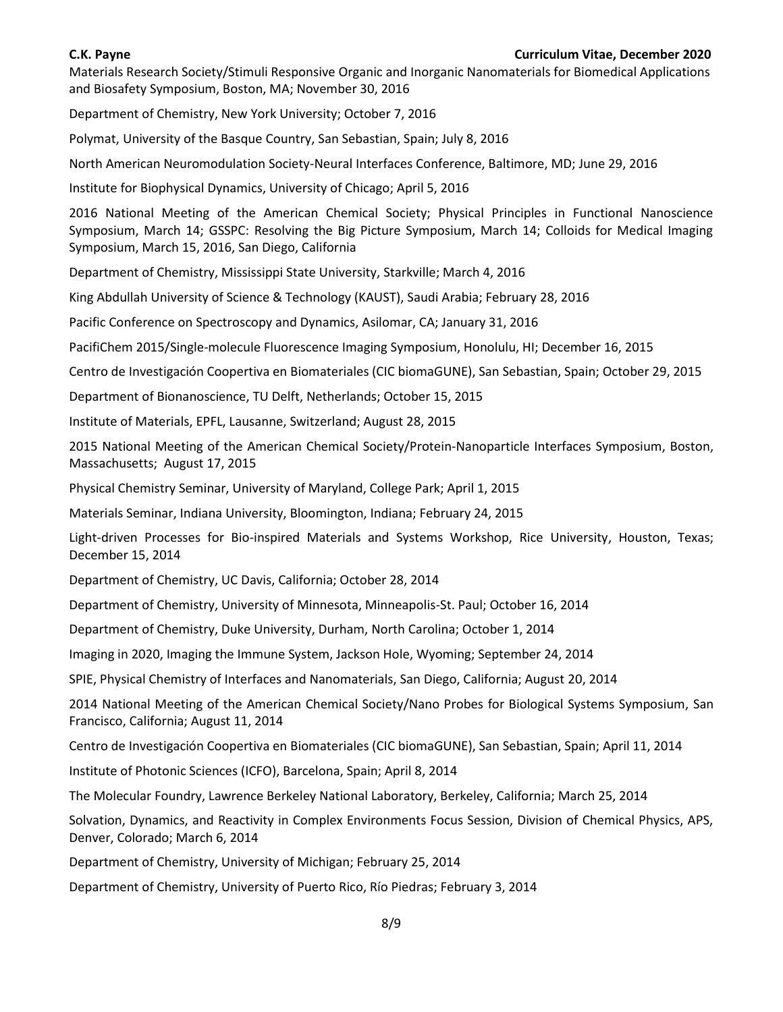Materials Research Society/Stimuli Responsive Organic and Inorganic Nanomaterials for Biomedical Applications and Biosafety Symposium, Boston, MA; November 30, 2016

Department of Chemistry, New York University; October 7, 2016

Polymat, University of the Basque Country, San Sebastian, Spain; July 8, 2016

North American Neuromodulation Society-Neural Interfaces Conference, Baltimore, MD; June 29, 2016

Institute for Biophysical Dynamics, University of Chicago; April 5, 2016

2016 National Meeting of the American Chemical Society; Physical Principles in Functional Nanoscience Symposium, March 14; GSSPC: Resolving the Big Picture Symposium, March 14; Colloids for Medical Imaging Symposium, March 15, 2016, San Diego, California

Department of Chemistry, Mississippi State University, Starkville; March 4, 2016

King Abdullah University of Science & Technology (KAUST), Saudi Arabia; February 28, 2016

Pacific Conference on Spectroscopy and Dynamics, Asilomar, CA; January 31, 2016

PacifiChem 2015/Single-molecule Fluorescence Imaging Symposium, Honolulu, HI; December 16, 2015

Centro de Investigación Coopertiva en Biomateriales (CIC biomaGUNE), San Sebastian, Spain; October 29, 2015

Department of Bionanoscience, TU Delft, Netherlands; October 15, 2015

Institute of Materials, EPFL, Lausanne, Switzerland; August 28, 2015

2015 National Meeting of the American Chemical Society/Protein-Nanoparticle Interfaces Symposium, Boston, Massachusetts; August 17, 2015

Physical Chemistry Seminar, University of Maryland, College Park; April 1, 2015

Materials Seminar, Indiana University, Bloomington, Indiana; February 24, 2015

Light-driven Processes for Bio-inspired Materials and Systems Workshop, Rice University, Houston, Texas; December 15, 2014

Department of Chemistry, UC Davis, California; October 28, 2014

Department of Chemistry, University of Minnesota, Minneapolis-St. Paul; October 16, 2014

Department of Chemistry, Duke University, Durham, North Carolina; October 1, 2014

Imaging in 2020, Imaging the Immune System, Jackson Hole, Wyoming; September 24, 2014

SPIE, Physical Chemistry of Interfaces and Nanomaterials, San Diego, California; August 20, 2014

2014 National Meeting of the American Chemical Society/Nano Probes for Biological Systems Symposium, San Francisco, California; August 11, 2014

Centro de Investigación Coopertiva en Biomateriales (CIC biomaGUNE), San Sebastian, Spain; April 11, 2014

Institute of Photonic Sciences (ICFO), Barcelona, Spain; April 8, 2014

The Molecular Foundry, Lawrence Berkeley National Laboratory, Berkeley, California; March 25, 2014

Solvation, Dynamics, and Reactivity in Complex Environments Focus Session, Division of Chemical Physics, APS, Denver, Colorado; March 6, 2014

Department of Chemistry, University of Michigan; February 25, 2014

Department of Chemistry, University of Puerto Rico, Río Piedras; February 3, 2014